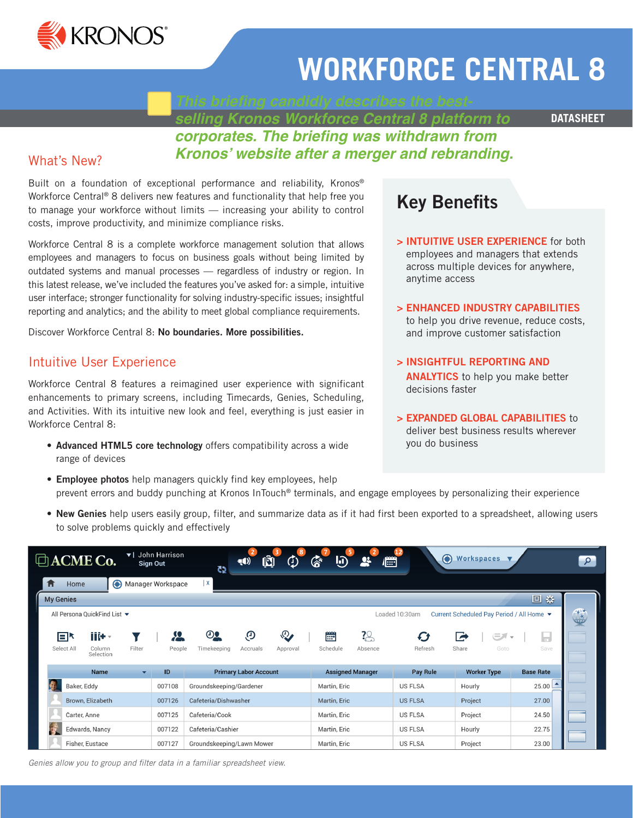

# **WORKFORCE CENTRAL 8**

*selling Kronos Workforce Central 8 platform to* 

**DATASHEET**

# *corporates. The briefing was withdrawn from Kronos' website after a merger and rebranding.*

# What's New?

Built on a foundation of exceptional performance and reliability, Kronos® Workforce Central® 8 delivers new features and functionality that help free you to manage your workforce without limits — increasing your ability to control costs, improve productivity, and minimize compliance risks.

Workforce Central 8 is a complete workforce management solution that allows employees and managers to focus on business goals without being limited by outdated systems and manual processes — regardless of industry or region. In this latest release, we've included the features you've asked for: a simple, intuitive user interface; stronger functionality for solving industry-specific issues; insightful reporting and analytics; and the ability to meet global compliance requirements.

Discover Workforce Central 8: No boundaries. More possibilities.

# Intuitive User Experience

Workforce Central 8 features a reimagined user experience with significant enhancements to primary screens, including Timecards, Genies, Scheduling, and Activities. With its intuitive new look and feel, everything is just easier in Workforce Central 8:

• Advanced HTML5 core technology offers compatibility across a wide range of devices

# Key Benefits

> INTUITIVE USER EXPERIENCE for both employees and managers that extends across multiple devices for anywhere, anytime access

#### > ENHANCED INDUSTRY CAPABILITIES to help you drive revenue, reduce costs, and improve customer satisfaction

- > INSIGHTFUL REPORTING AND ANALYTICS to help you make better decisions faster
- > EXPANDED GLOBAL CAPABILITIES to deliver best business results wherever you do business
- Employee photos help managers quickly find key employees, help prevent errors and buddy punching at Kronos InTouch® terminals, and engage employees by personalizing their experience
- New Genies help users easily group, filter, and summarize data as if it had first been exported to a spreadsheet, allowing users to solve problems quickly and effectively

|                                                                                             | $\Box$ ACME Co.               |        | ▼ I John Harrison<br>Sign Out | $\overline{c}$                   | 40)                          | 8<br>Ф<br>Ŵ               | டு<br>"∕ି                        |                           | 信              | $\bullet$<br>Workspaces V      |                                       |
|---------------------------------------------------------------------------------------------|-------------------------------|--------|-------------------------------|----------------------------------|------------------------------|---------------------------|----------------------------------|---------------------------|----------------|--------------------------------|---------------------------------------|
| 介<br>Home                                                                                   | ⊕                             |        | Manager Workspace             | X                                |                              |                           |                                  |                           |                |                                |                                       |
| <b>My Genies</b>                                                                            |                               |        |                               |                                  |                              |                           |                                  |                           |                |                                | 回章                                    |
| All Persona QuickFind List ▼<br>Current Scheduled Pay Period / All Home ▼<br>Loaded 10:30am |                               |        |                               |                                  |                              |                           |                                  |                           |                |                                |                                       |
| EՒ<br>Select All                                                                            | iiit -<br>Column<br>Selection | Filter | Ж<br>People                   | $\mathbf{\Theta}$<br>Timekeeping | O,<br>Accruals               | $\mathcal{P}$<br>Approval | $\frac{44444}{1442}$<br>Schedule | $\frac{20}{5}$<br>Absence | Ø<br>Refresh   | $\equiv$<br>À<br>Share<br>Goto | $\overline{\phantom{a}}$<br>Ħ<br>Save |
|                                                                                             | Name                          | ▼      | ID                            |                                  | <b>Primary Labor Account</b> |                           |                                  | <b>Assigned Manager</b>   | Pay Rule       | <b>Worker Type</b>             | <b>Base Rate</b>                      |
|                                                                                             | Baker, Eddy                   |        | 007108                        | Groundskeeping/Gardener          |                              |                           | Martin, Eric                     |                           | <b>US FLSA</b> | Hourly                         | $25.00$ $\triangle$                   |
|                                                                                             | Brown, Elizabeth              |        | 007126                        | Cafeteria/Dishwasher             |                              |                           | Martin, Eric                     |                           | <b>US FLSA</b> | Project                        | 27.00                                 |
|                                                                                             | Carter, Anne                  |        | 007125                        | Cafeteria/Cook                   |                              |                           |                                  | Martin, Eric              |                | Project                        | 24.50                                 |
| 學                                                                                           | Edwards, Nancy                |        | 007122                        | Cafeteria/Cashier                |                              |                           | Martin, Eric                     |                           | <b>US FLSA</b> | Hourly                         | 22.75                                 |
|                                                                                             | 007127<br>Fisher, Eustace     |        |                               | Groundskeeping/Lawn Mower        |                              |                           | Martin, Eric                     |                           | <b>US FLSA</b> | Project                        | 23.00                                 |

*Genies allow you to group and filter data in a familiar spreadsheet view.*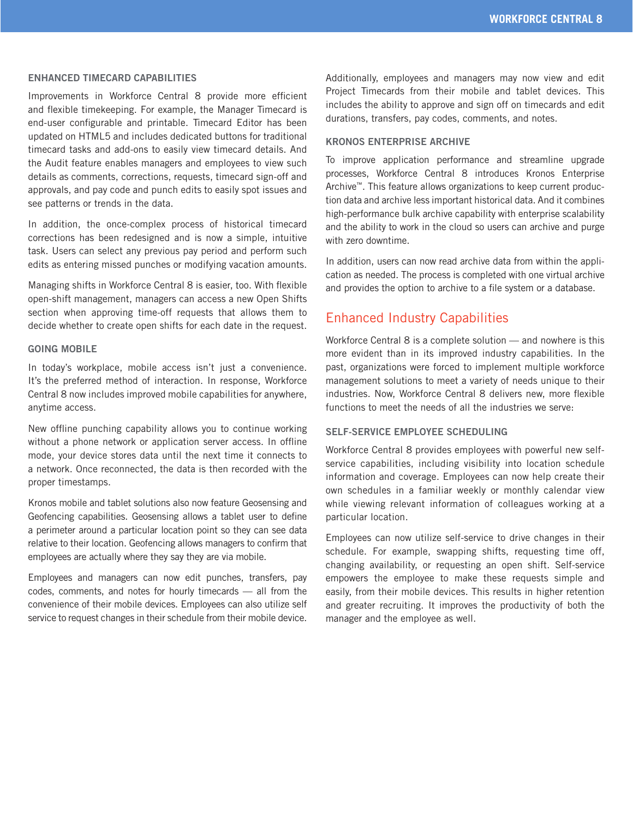#### ENHANCED TIMECARD CAPABILITIES

Improvements in Workforce Central 8 provide more efficient and flexible timekeeping. For example, the Manager Timecard is end-user configurable and printable. Timecard Editor has been updated on HTML5 and includes dedicated buttons for traditional timecard tasks and add-ons to easily view timecard details. And the Audit feature enables managers and employees to view such details as comments, corrections, requests, timecard sign-off and approvals, and pay code and punch edits to easily spot issues and see patterns or trends in the data.

In addition, the once-complex process of historical timecard corrections has been redesigned and is now a simple, intuitive task. Users can select any previous pay period and perform such edits as entering missed punches or modifying vacation amounts.

Managing shifts in Workforce Central 8 is easier, too. With flexible open-shift management, managers can access a new Open Shifts section when approving time-off requests that allows them to decide whether to create open shifts for each date in the request.

#### GOING MOBILE

In today's workplace, mobile access isn't just a convenience. It's the preferred method of interaction. In response, Workforce Central 8 now includes improved mobile capabilities for anywhere, anytime access.

New offline punching capability allows you to continue working without a phone network or application server access. In offline mode, your device stores data until the next time it connects to a network. Once reconnected, the data is then recorded with the proper timestamps.

Kronos mobile and tablet solutions also now feature Geosensing and Geofencing capabilities. Geosensing allows a tablet user to define a perimeter around a particular location point so they can see data relative to their location. Geofencing allows managers to confirm that employees are actually where they say they are via mobile.

Employees and managers can now edit punches, transfers, pay codes, comments, and notes for hourly timecards — all from the convenience of their mobile devices. Employees can also utilize self service to request changes in their schedule from their mobile device. Additionally, employees and managers may now view and edit Project Timecards from their mobile and tablet devices. This includes the ability to approve and sign off on timecards and edit durations, transfers, pay codes, comments, and notes.

#### KRONOS ENTERPRISE ARCHIVE

To improve application performance and streamline upgrade processes, Workforce Central 8 introduces Kronos Enterprise Archive™. This feature allows organizations to keep current production data and archive less important historical data. And it combines high-performance bulk archive capability with enterprise scalability and the ability to work in the cloud so users can archive and purge with zero downtime.

In addition, users can now read archive data from within the application as needed. The process is completed with one virtual archive and provides the option to archive to a file system or a database.

## Enhanced Industry Capabilities

Workforce Central 8 is a complete solution — and nowhere is this more evident than in its improved industry capabilities. In the past, organizations were forced to implement multiple workforce management solutions to meet a variety of needs unique to their industries. Now, Workforce Central 8 delivers new, more flexible functions to meet the needs of all the industries we serve:

#### SELF-SERVICE EMPLOYEE SCHEDULING

Workforce Central 8 provides employees with powerful new selfservice capabilities, including visibility into location schedule information and coverage. Employees can now help create their own schedules in a familiar weekly or monthly calendar view while viewing relevant information of colleagues working at a particular location.

Employees can now utilize self-service to drive changes in their schedule. For example, swapping shifts, requesting time off, changing availability, or requesting an open shift. Self-service empowers the employee to make these requests simple and easily, from their mobile devices. This results in higher retention and greater recruiting. It improves the productivity of both the manager and the employee as well.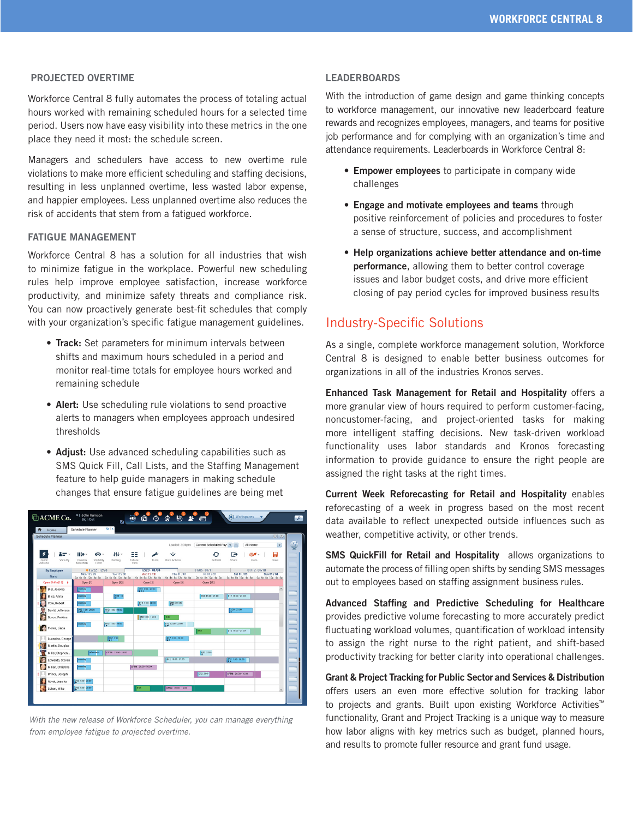#### PROJECTED OVERTIME

Workforce Central 8 fully automates the process of totaling actual hours worked with remaining scheduled hours for a selected time period. Users now have easy visibility into these metrics in the one place they need it most: the schedule screen.

Managers and schedulers have access to new overtime rule violations to make more efficient scheduling and staffing decisions, resulting in less unplanned overtime, less wasted labor expense, and happier employees. Less unplanned overtime also reduces the risk of accidents that stem from a fatigued workforce.

#### FATIGUE MANAGEMENT

Workforce Central 8 has a solution for all industries that wish to minimize fatigue in the workplace. Powerful new scheduling rules help improve employee satisfaction, increase workforce productivity, and minimize safety threats and compliance risk. You can now proactively generate best-fit schedules that comply with your organization's specific fatigue management guidelines.

- Track: Set parameters for minimum intervals between shifts and maximum hours scheduled in a period and monitor real-time totals for employee hours worked and remaining schedule
- Alert: Use scheduling rule violations to send proactive alerts to managers when employees approach undesired thresholds
- Adjust: Use advanced scheduling capabilities such as SMS Quick Fill, Call Lists, and the Staffing Management feature to help guide managers in making schedule changes that ensure fatigue guidelines are being met



*With the new release of Workforce Scheduler, you can manage everything from employee fatigue to projected overtime.* 

#### LEADERBOARDS

With the introduction of game design and game thinking concepts to workforce management, our innovative new leaderboard feature rewards and recognizes employees, managers, and teams for positive job performance and for complying with an organization's time and attendance requirements. Leaderboards in Workforce Central 8:

- Empower employees to participate in company wide challenges
- Engage and motivate employees and teams through positive reinforcement of policies and procedures to foster a sense of structure, success, and accomplishment
- Help organizations achieve better attendance and on-time performance, allowing them to better control coverage issues and labor budget costs, and drive more efficient closing of pay period cycles for improved business results

### Industry-Specific Solutions

As a single, complete workforce management solution, Workforce Central 8 is designed to enable better business outcomes for organizations in all of the industries Kronos serves.

Enhanced Task Management for Retail and Hospitality offers a more granular view of hours required to perform customer-facing, noncustomer-facing, and project-oriented tasks for making more intelligent staffing decisions. New task-driven workload functionality uses labor standards and Kronos forecasting information to provide guidance to ensure the right people are assigned the right tasks at the right times.

Current Week Reforecasting for Retail and Hospitality enables reforecasting of a week in progress based on the most recent data available to reflect unexpected outside influences such as weather, competitive activity, or other trends.

SMS QuickFill for Retail and Hospitality allows organizations to automate the process of filling open shifts by sending SMS messages out to employees based on staffing assignment business rules.

Advanced Staffing and Predictive Scheduling for Healthcare provides predictive volume forecasting to more accurately predict fluctuating workload volumes, quantification of workload intensity to assign the right nurse to the right patient, and shift-based productivity tracking for better clarity into operational challenges.

Grant & Project Tracking for Public Sector and Services & Distribution offers users an even more effective solution for tracking labor to projects and grants. Built upon existing Workforce Activities™ functionality, Grant and Project Tracking is a unique way to measure how labor aligns with key metrics such as budget, planned hours, and results to promote fuller resource and grant fund usage.